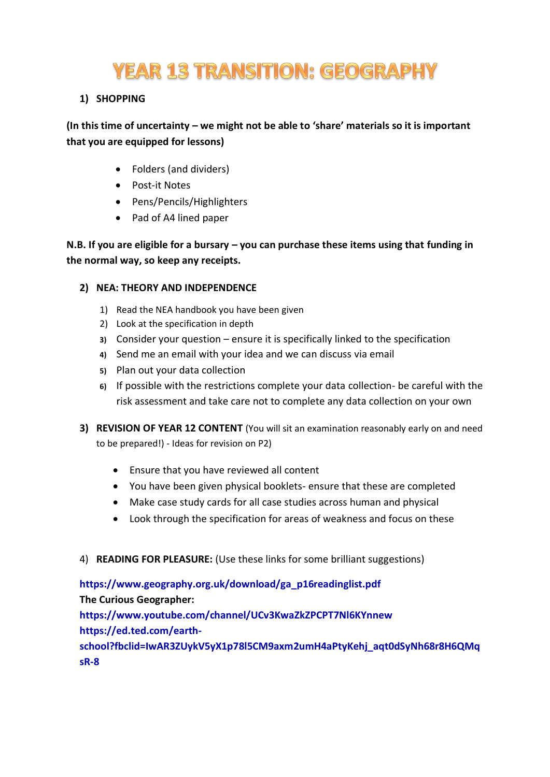# **YEAR 13 TRANSITION: GEOGRAPHY**

#### **1) SHOPPING**

#### **(In this time of uncertainty – we might not be able to 'share' materials so it is important that you are equipped for lessons)**

- Folders (and dividers)
- Post-it Notes
- Pens/Pencils/Highlighters
- Pad of A4 lined paper

**N.B. If you are eligible for a bursary – you can purchase these items using that funding in the normal way, so keep any receipts.**

#### **2) NEA: THEORY AND INDEPENDENCE**

- 1) Read the NEA handbook you have been given
- 2) Look at the specification in depth
- **3)** Consider your question ensure it is specifically linked to the specification
- **4)** Send me an email with your idea and we can discuss via email
- **5)** Plan out your data collection
- **6)** If possible with the restrictions complete your data collection- be careful with the risk assessment and take care not to complete any data collection on your own
- **3) REVISION OF YEAR 12 CONTENT** (You will sit an examination reasonably early on and need to be prepared!) - Ideas for revision on P2)
	- Ensure that you have reviewed all content
	- You have been given physical booklets- ensure that these are completed
	- Make case study cards for all case studies across human and physical
	- Look through the specification for areas of weakness and focus on these
- 4) **READING FOR PLEASURE:** (Use these links for some brilliant suggestions)

**[https://www.geography.org.uk/download/ga\\_p16readinglist.pdf](https://www.geography.org.uk/download/ga_p16readinglist.pdf) The Curious Geographer: <https://www.youtube.com/channel/UCv3KwaZkZPCPT7Nl6KYnnew> [https://ed.ted.com/earth](https://ed.ted.com/earth-school?fbclid=IwAR3ZUykV5yX1p78l5CM9axm2umH4aPtyKehj_aqt0dSyNh68r8H6QMqsR-8)[school?fbclid=IwAR3ZUykV5yX1p78l5CM9axm2umH4aPtyKehj\\_aqt0dSyNh68r8H6QMq](https://ed.ted.com/earth-school?fbclid=IwAR3ZUykV5yX1p78l5CM9axm2umH4aPtyKehj_aqt0dSyNh68r8H6QMqsR-8) [sR-8](https://ed.ted.com/earth-school?fbclid=IwAR3ZUykV5yX1p78l5CM9axm2umH4aPtyKehj_aqt0dSyNh68r8H6QMqsR-8)**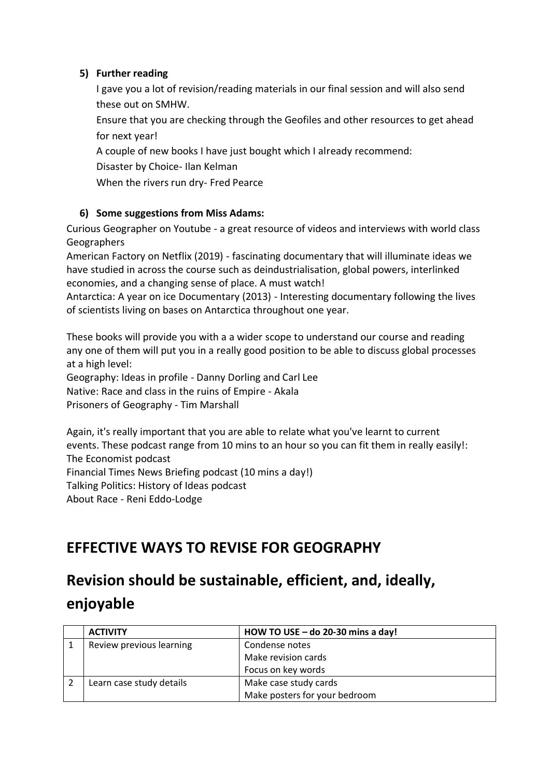#### **5) Further reading**

I gave you a lot of revision/reading materials in our final session and will also send these out on SMHW.

Ensure that you are checking through the Geofiles and other resources to get ahead for next year!

A couple of new books I have just bought which I already recommend:

Disaster by Choice- Ilan Kelman

When the rivers run dry- Fred Pearce

#### **6) Some suggestions from Miss Adams:**

Curious Geographer on Youtube - a great resource of videos and interviews with world class Geographers

American Factory on Netflix (2019) - fascinating documentary that will illuminate ideas we have studied in across the course such as deindustrialisation, global powers, interlinked economies, and a changing sense of place. A must watch!

Antarctica: A year on ice Documentary (2013) - Interesting documentary following the lives of scientists living on bases on Antarctica throughout one year.

These books will provide you with a a wider scope to understand our course and reading any one of them will put you in a really good position to be able to discuss global processes at a high level:

Geography: Ideas in profile - Danny Dorling and Carl Lee Native: Race and class in the ruins of Empire - Akala Prisoners of Geography - Tim Marshall

Again, it's really important that you are able to relate what you've learnt to current events. These podcast range from 10 mins to an hour so you can fit them in really easily!: The Economist podcast Financial Times News Briefing podcast (10 mins a day!) Talking Politics: History of Ideas podcast About Race - Reni Eddo-Lodge

### **EFFECTIVE WAYS TO REVISE FOR GEOGRAPHY**

## **Revision should be sustainable, efficient, and, ideally, enjoyable**

| <b>ACTIVITY</b>          | HOW TO USE $-$ do 20-30 mins a day! |
|--------------------------|-------------------------------------|
| Review previous learning | Condense notes                      |
|                          | Make revision cards                 |
|                          | Focus on key words                  |
| Learn case study details | Make case study cards               |
|                          | Make posters for your bedroom       |